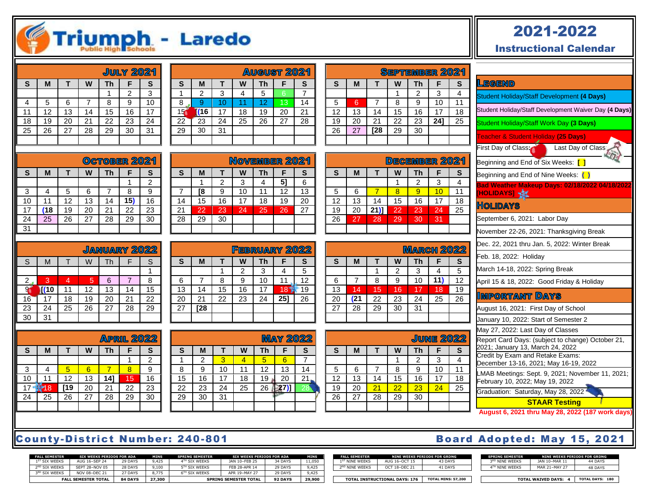# Triumph - Laredo

|    |    |    |    |           | <b>JULY 2021</b> |    |
|----|----|----|----|-----------|------------------|----|
| S  | М  |    | W  | <b>Th</b> | F                | S  |
|    |    |    |    |           | 2                | 3  |
| 4  | 5  | 6  |    | 8         | 9                | 10 |
| 11 | 12 | 13 | 14 | 15        | 16               | 17 |
| 18 | 19 | 20 | 21 | 22        | 23               | 24 |
| 25 | 26 | 27 | 28 | 29        | 30               | 31 |
|    |    |    |    |           |                  |    |

|    |     |    |    |    | <u>August 2021</u> |    |
|----|-----|----|----|----|--------------------|----|
| S  | M   |    | W  | Th | F                  | S  |
|    | 2   | 3  | 4  | 5  | 6                  |    |
| 8  | 9   | 10 |    | 12 | 13                 | 14 |
| 15 | (16 | 17 | 18 | 19 | 20                 | 21 |
| 22 | 23  | 24 | 25 | 26 | 27                 | 28 |
| 29 | 30  | 31 |    |    |                    |    |
|    |     |    |    |    |                    |    |

**S M T W Th F S** 2 3 4 **5]** 6 **[8** 9 10 11 12 13 15 16 17 18 19 20 22 23 24 25 26 27

NOVEMBER 2021

28 29 30

| OCTOBER 2021 |    |                          |    |    |    |    |  |
|--------------|----|--------------------------|----|----|----|----|--|
| S            | M  | W<br><b>Th</b><br>S<br>F |    |    |    |    |  |
|              |    |                          |    |    |    | 2  |  |
| 3            |    | 5                        | 6  |    | 8  | 9  |  |
| 10           | 11 | 12                       | 13 | 14 | 15 | 16 |  |
| 17           | 18 | 19                       | 20 | 21 | 22 | 23 |  |
| 24           | 25 | 26                       | 27 | 28 | 29 | 30 |  |
| 31           |    |                          |    |    |    |    |  |

|    |      |    |    |    | JANUARY 2022 |    |
|----|------|----|----|----|--------------|----|
| S  | M    |    | W  | Th | F            | S  |
|    |      |    |    |    |              |    |
| 2  | 3    | 4  | 5  | 6  |              | 8  |
|    | T(10 | 11 | 12 | 13 | 14           | 15 |
| 16 | 17   | 18 | 19 | 20 | 21           | 22 |
| 23 | 24   | 25 | 26 | 27 | 28           | 29 |
| 30 | 31   |    |    |    |              |    |

**S M T W Th F S**

3 | 4 <mark>| 5 | 6 | 7 | 8 |</mark> 9 11 12 13 **14]** 15 16 **18 19** 20 21 22 23 25 26 27 28 29 30

|              |      |                 | <b>FEBRUARY 2022</b> |    |     |                 |
|--------------|------|-----------------|----------------------|----|-----|-----------------|
| $\mathbf{s}$ | M    |                 | W                    | Th | F   | S               |
|              |      |                 | 2                    | 3  |     | $\overline{5}$  |
| 6            |      | 8               | 9                    | 10 |     | 12              |
| 13           | 14   | 15              | 16                   | 17 | 18" | 19              |
| 20           | 21   | $\overline{22}$ | 23                   | 24 | 251 | $\overline{26}$ |
| 27           | [28] |                 |                      |    |     |                 |
|              |      |                 |                      |    |     |                 |

|    |    |    |    |    | <b>MAY 2022</b> |                 |
|----|----|----|----|----|-----------------|-----------------|
| S  | М  |    | W  | Th | F               | S               |
|    | 2  | 3  |    | 5  | 6               |                 |
| 8  | 9  | 10 | 11 | 12 | 13              | 14              |
| 15 | 16 | 17 | 18 | 19 | 20              | 21              |
| 22 | 23 | 24 | 25 | 26 | 27              | $\overline{28}$ |
| 29 | 30 | 31 |    |    |                 |                 |
|    |    |    |    |    |                 |                 |

|    |    |     |    |                | <u>September 2021</u> |        |
|----|----|-----|----|----------------|-----------------------|--------|
| S  | M  |     | W  | <b>Th</b>      | F                     | S      |
|    |    |     |    | 2              | 3                     | 4      |
| 5  | 6  |     | 8  | 9              | 10                    | 11     |
| 12 | 13 | 14  | 15 | 16             | 17                    | 18     |
| 19 | 20 | 21  | 22 | 23             | 24]                   | 25     |
| 26 | 27 | [28 | 29 | 30             |                       |        |
|    |    |     |    |                |                       |        |
|    |    |     |    |                |                       |        |
|    |    |     |    | <b>GREMBER</b> |                       | ч<br>ை |

|    |    | <u>DECEMBER 2021</u> |    |    |    |    |  |  |
|----|----|----------------------|----|----|----|----|--|--|
| S  | M  |                      | W  | Th | F  | S  |  |  |
|    |    |                      |    | 2  | 3  | 4  |  |  |
| 5  | 6  |                      | 8  | 9  | 10 | 11 |  |  |
| 12 | 13 | 14                   | 15 | 16 | 17 | 18 |  |  |
| 19 | 20 | $21$ )               | 22 | 23 | 24 | 25 |  |  |
| 26 | 27 | 28                   | 29 | 30 | 31 |    |  |  |
|    |    |                      |    |    |    |    |  |  |

|    |     |    |    | <b>MARCH 2022</b> |     |    |
|----|-----|----|----|-------------------|-----|----|
| S  | M   |    | W  | Th                | F   | S  |
|    |     |    | 2  | 3                 |     | 5  |
| 6  |     | 8  | 9  | 10                | 11) | 12 |
| 13 | 14  | 15 | 16 | 17                | 18  | 19 |
| 20 | (21 | 22 | 23 | 24                | 25  | 26 |
| 27 | 28  | 29 | 30 | 31                |     |    |
|    |     |    |    |                   |     |    |

|          |                               |    |    |    | <b>JUNE 2022</b> |                 |
|----------|-------------------------------|----|----|----|------------------|-----------------|
| <b>S</b> | S<br>W<br><b>Th</b><br>M<br>F |    |    |    |                  |                 |
|          |                               |    |    | 2  | 3                | 4               |
| 5        | 6                             |    | 8  | 9  | 10               | 11              |
| 12       | 13                            | 14 | 15 | 16 | 17               | 18              |
| 19       | 20                            | 21 | 22 | 23 | 24               | $\overline{25}$ |
| 26       | 27                            | 28 | 29 | 30 |                  |                 |
|          |                               |    |    |    |                  |                 |

### 2021-2022

Instructional Calendar

| <u>LEGEND</u>                                                                         |
|---------------------------------------------------------------------------------------|
| Student Holiday/Staff Development (4 Days)                                            |
| Student Holiday/Staff Development Waiver Day (4 Days)                                 |
| Student Holiday/Staff Work Day (3 Days)                                               |
| Teacher & Student Holiday (25 Days)                                                   |
| Last Day of Class<br>First Day of Class:                                              |
| Beginning and End of Six Weeks: [ ]                                                   |
| Beginning and End of Nine Weeks: ()                                                   |
| Bad Weather Makeup Days: 02/18/2022 04/18/2022<br>[HOLIDAYS] <b>*</b> \$              |
| <u>Holidays</u>                                                                       |
| September 6, 2021: Labor Day                                                          |
| November 22-26, 2021: Thanksgiving Break                                              |
| Dec. 22, 2021 thru Jan. 5, 2022: Winter Break                                         |
| Feb. 18, 2022: Holiday                                                                |
| March 14-18, 2022: Spring Break                                                       |
| April 15 & 18, 2022: Good Friday & Holiday                                            |
| Important Days                                                                        |
| August 16, 2021: First Day of School                                                  |
| January 10, 2022: Start of Semester 2                                                 |
| May 27, 2022: Last Day of Classes                                                     |
| Report Card Days: (subject to change) October 21,<br>2021; January 13, March 24, 2022 |
| Credit by Exam and Retake Exams:<br>December 13-16, 2021; May 16-19, 2022             |
| LMAB Meetings: Sept. 9, 2021; November 11, 2021;<br>February 10, 2022; May 19, 2022   |
| Graduation: Saturday, May 28, 2022                                                    |
| <b>STAAR Testing</b>                                                                  |

#### County-District Number: 240-801 Board Adopted: May 15, 2021

1 2

**APRIL 2022** 

| <b>FALL SEMESTER</b>      | SIX WEEKS PERIODS FOR ADA  |                | MINS   | <b>SPRING SEMESTER</b>    | SIX WEEKS PERIODS FOR ADA    |                | MINS   |
|---------------------------|----------------------------|----------------|--------|---------------------------|------------------------------|----------------|--------|
| 1 <sup>ST</sup> SIX WEEKS | AUG 16-SEP 24              | 29 DAYS        | 9.425  | 4TH STX WEEKS             | <b>JAN 10-FFB 25</b>         | 34 DAYS        | 11,050 |
| 2 <sup>ND</sup> STX WFFKS | SFPT 28-NOV 05             | 28 DAYS        | 9,100  | 5TH STX WEEKS             | FFB 28-APR 14                | 29 DAYS        | 9.425  |
| 3 <sup>RD</sup> STX WFFKS | NOV 08-DFC 21              | 27 DAYS        | 8.775  | 6 <sup>TH</sup> SIX WFFKS | APR 19-MAY 27                | 29 DAYS        | 9.425  |
|                           | <b>FALL SEMESTER TOTAL</b> | <b>84 DAYS</b> | 27,300 |                           | <b>SPRING SEMESTER TOTAL</b> | <b>92 DAYS</b> | 29,900 |

| <b>FALL SEMESTER</b>       |               | NINE WEEKS PERIODS FOR GRDNG | <b>SPRING SEMESTER</b>     | NINE WEEKS PERIODS FOR GRDNG |         |
|----------------------------|---------------|------------------------------|----------------------------|------------------------------|---------|
| 1 <sup>ST</sup> NINF WFFKS | AUG 16-OCT 15 | 43 DAYS                      | 3 <sup>RD</sup> NINE WEEKS | 1AN 10-MAR 11                | 44 DAYS |
| 2 <sup>ND</sup> NINF WFFKS | OCT 18-DFC 21 | 41 DAYS                      | 4TH NINE WEEKS             | MAR 21-MAY 27                | 48 DAYS |

**FALL SEMESTER TOTAL 84 DAYS 27,300 SPRING SEMESTER TOTAL 92 DAYS 29,900 TOTAL INSTRUCTIONAL DAYS: 176 TOTAL MINS: 57,200 TOTAL WAIVED DAYS: 4 TOTAL DAYS: 180**

| ard Adopted: May 15, ZUZ1 |  |  |
|---------------------------|--|--|
|                           |  |  |
|                           |  |  |
|                           |  |  |
|                           |  |  |
|                           |  |  |

|            | TOTAL MIATURE BAMS.  | $\cdots$ |
|------------|----------------------|----------|
|            |                      |          |
| NINE WEEKS | <b>MAR 21-MAY 27</b> | 48 DAYS  |
| NINE WEEKS | JAN 10-MAR 11        | 44 DAYS  |